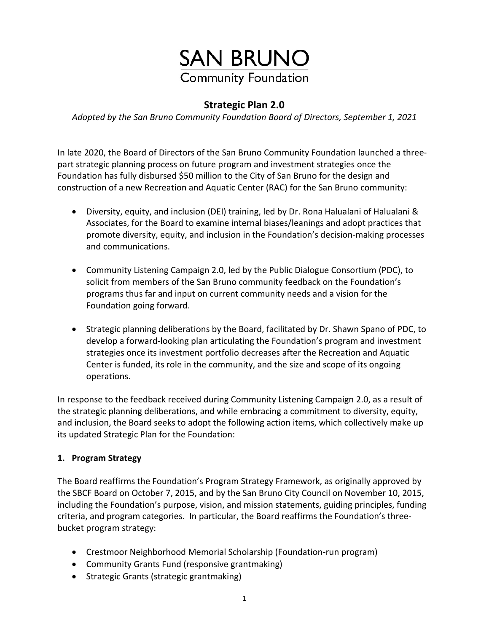# **SAN BRUNO Community Foundation**

# **Strategic Plan 2.0**

*Adopted by the San Bruno Community Foundation Board of Directors, September 1, 2021*

In late 2020, the Board of Directors of the San Bruno Community Foundation launched a threepart strategic planning process on future program and investment strategies once the Foundation has fully disbursed \$50 million to the City of San Bruno for the design and construction of a new Recreation and Aquatic Center (RAC) for the San Bruno community:

- Diversity, equity, and inclusion (DEI) training, led by Dr. Rona Halualani of Halualani & Associates, for the Board to examine internal biases/leanings and adopt practices that promote diversity, equity, and inclusion in the Foundation's decision-making processes and communications.
- Community Listening Campaign 2.0, led by the Public Dialogue Consortium (PDC), to solicit from members of the San Bruno community feedback on the Foundation's programs thus far and input on current community needs and a vision for the Foundation going forward.
- Strategic planning deliberations by the Board, facilitated by Dr. Shawn Spano of PDC, to develop a forward-looking plan articulating the Foundation's program and investment strategies once its investment portfolio decreases after the Recreation and Aquatic Center is funded, its role in the community, and the size and scope of its ongoing operations.

In response to the feedback received during Community Listening Campaign 2.0, as a result of the strategic planning deliberations, and while embracing a commitment to diversity, equity, and inclusion, the Board seeks to adopt the following action items, which collectively make up its updated Strategic Plan for the Foundation:

### **1. Program Strategy**

The Board reaffirms the Foundation's Program Strategy Framework, as originally approved by the SBCF Board on October 7, 2015, and by the San Bruno City Council on November 10, 2015, including the Foundation's purpose, vision, and mission statements, guiding principles, funding criteria, and program categories. In particular, the Board reaffirms the Foundation's threebucket program strategy:

- Crestmoor Neighborhood Memorial Scholarship (Foundation-run program)
- Community Grants Fund (responsive grantmaking)
- Strategic Grants (strategic grantmaking)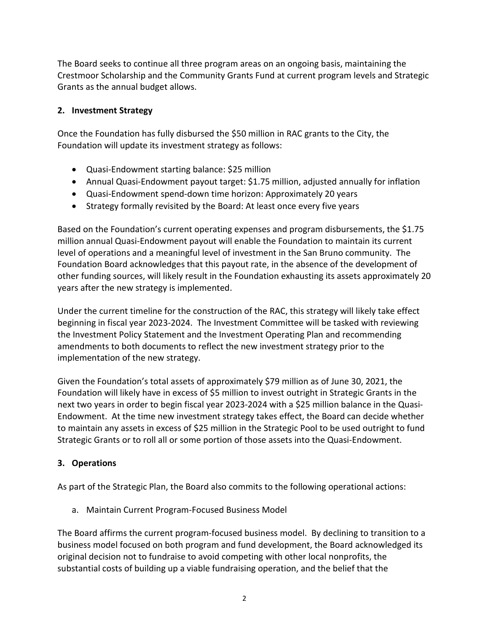The Board seeks to continue all three program areas on an ongoing basis, maintaining the Crestmoor Scholarship and the Community Grants Fund at current program levels and Strategic Grants as the annual budget allows.

### **2. Investment Strategy**

Once the Foundation has fully disbursed the \$50 million in RAC grants to the City, the Foundation will update its investment strategy as follows:

- Quasi-Endowment starting balance: \$25 million
- Annual Quasi-Endowment payout target: \$1.75 million, adjusted annually for inflation
- Quasi-Endowment spend-down time horizon: Approximately 20 years
- Strategy formally revisited by the Board: At least once every five years

Based on the Foundation's current operating expenses and program disbursements, the \$1.75 million annual Quasi-Endowment payout will enable the Foundation to maintain its current level of operations and a meaningful level of investment in the San Bruno community. The Foundation Board acknowledges that this payout rate, in the absence of the development of other funding sources, will likely result in the Foundation exhausting its assets approximately 20 years after the new strategy is implemented.

Under the current timeline for the construction of the RAC, this strategy will likely take effect beginning in fiscal year 2023-2024. The Investment Committee will be tasked with reviewing the Investment Policy Statement and the Investment Operating Plan and recommending amendments to both documents to reflect the new investment strategy prior to the implementation of the new strategy.

Given the Foundation's total assets of approximately \$79 million as of June 30, 2021, the Foundation will likely have in excess of \$5 million to invest outright in Strategic Grants in the next two years in order to begin fiscal year 2023-2024 with a \$25 million balance in the Quasi-Endowment. At the time new investment strategy takes effect, the Board can decide whether to maintain any assets in excess of \$25 million in the Strategic Pool to be used outright to fund Strategic Grants or to roll all or some portion of those assets into the Quasi-Endowment.

# **3. Operations**

As part of the Strategic Plan, the Board also commits to the following operational actions:

a. Maintain Current Program-Focused Business Model

The Board affirms the current program-focused business model. By declining to transition to a business model focused on both program and fund development, the Board acknowledged its original decision not to fundraise to avoid competing with other local nonprofits, the substantial costs of building up a viable fundraising operation, and the belief that the